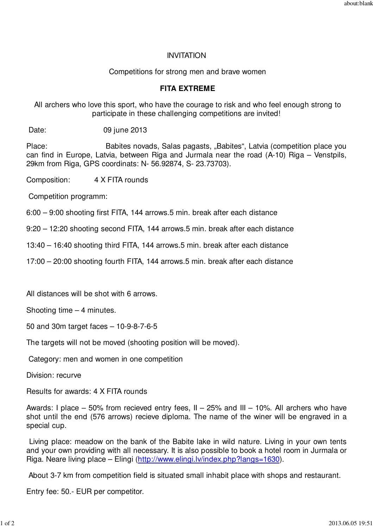## INVITATION

Competitions for strong men and brave women

## **FITA EXTREME**

 All archers who love this sport, who have the courage to risk and who feel enough strong to participate in these challenging competitions are invited!

Date: 09 june 2013

Place: Babites novads, Salas pagasts, "Babites", Latvia (competition place you can find in Europe, Latvia, between Riga and Jurmala near the road (A-10) Riga – Venstpils, 29km from Riga, GPS coordinats: N- 56.92874, S- 23.73703).

Composition: 4 X FITA rounds

Competition programm:

6:00 – 9:00 shooting first FITA, 144 arrows.5 min. break after each distance

9:20 – 12:20 shooting second FITA, 144 arrows.5 min. break after each distance

13:40 – 16:40 shooting third FITA, 144 arrows.5 min. break after each distance

17:00 – 20:00 shooting fourth FITA, 144 arrows.5 min. break after each distance

All distances will be shot with 6 arrows.

Shooting time – 4 minutes.

50 and 30m target faces – 10-9-8-7-6-5

The targets will not be moved (shooting position will be moved).

Category: men and women in one competition

Division: recurve

Results for awards: 4 X FITA rounds

Awards: I place – 50% from recieved entry fees,  $II - 25%$  and  $III - 10%$ . All archers who have shot until the end (576 arrows) recieve diploma. The name of the winer will be engraved in a special cup.

 Living place: meadow on the bank of the Babite lake in wild nature. Living in your own tents and your own providing with all necessary. It is also possible to book a hotel room in Jurmala or Riga. Neare living place – Elingi (http://www.elingi.lv/index.php?langs=1630).

About 3-7 km from competition field is situated small inhabit place with shops and restaurant.

Entry fee: 50.- EUR per competitor.